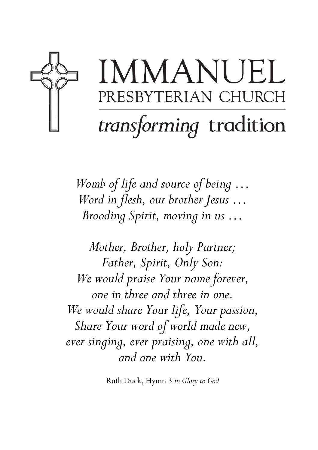

Womb of life and source of being ... Word in flesh, our brother Jesus … Brooding Spirit, moving in us …

Mother, Brother, holy Partner; Father, Spirit, Only Son: We would praise Your name forever, one in three and three in one. We would share Your life, Your passion, Share Your word of world made new, ever singing, ever praising, one with all, and one with You.

Ruth Duck, Hymn 3 in Glory to God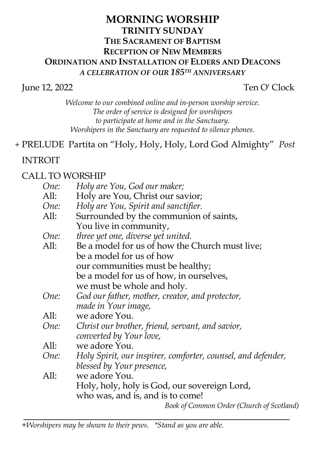## MORNING WORSHIP TRINITY SUNDAY THE SACRAMENT OF BAPTISM RECEPTION OF NEW MEMBERS ORDINATION AND INSTALLATION OF ELDERS AND DEACONS A CELEBRATION OF OUR 185TH ANNIVERSARY

June 12, 2022 Ten O' Clock

Welcome to our combined online and in-person worship service. The order of service is designed for worshipers to participate at home and in the Sanctuary. Worshipers in the Sanctuary are requested to silence phones.

### + PRELUDE Partita on "Holy, Holy, Holy, Lord God Almighty" Post

#### INTROIT

### CALL TO WORSHIP

| One: | Holy are You, God our maker;                                 |
|------|--------------------------------------------------------------|
| All: | Holy are You, Christ our savior;                             |
| One: | Holy are You, Spirit and sanctifier.                         |
| All: | Surrounded by the communion of saints,                       |
|      | You live in community,                                       |
| One: | three yet one, diverse yet united.                           |
| All: | Be a model for us of how the Church must live;               |
|      | be a model for us of how                                     |
|      | our communities must be healthy;                             |
|      | be a model for us of how, in ourselves,                      |
|      | we must be whole and holy.                                   |
| One: | God our father, mother, creator, and protector,              |
|      | made in Your image,                                          |
| All: | we adore You.                                                |
| One: | Christ our brother, friend, servant, and savior,             |
|      | converted by Your love,                                      |
| All: | we adore You.                                                |
| One: | Holy Spirit, our inspirer, comforter, counsel, and defender, |
|      | blessed by Your presence,                                    |
| All: | we adore You.                                                |
|      | Holy, holy, holy is God, our sovereign Lord,                 |
|      | who was, and is, and is to come!                             |
|      | Book of Common Order (Church of Scotland)                    |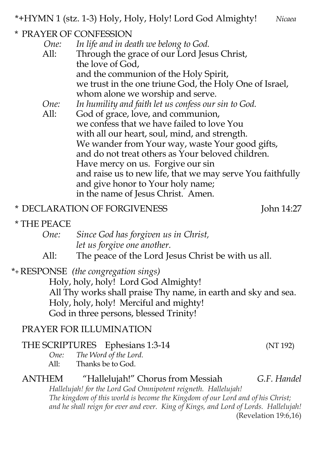# \* PRAYER OF CONFESSION

- One: In life and in death we belong to God.
- All: Through the grace of our Lord Jesus Christ, the love of God, and the communion of the Holy Spirit, we trust in the one triune God, the Holy One of Israel, whom alone we worship and serve.
- One: In humility and faith let us confess our sin to God.
- All: God of grace, love, and communion, we confess that we have failed to love You with all our heart, soul, mind, and strength. We wander from Your way, waste Your good gifts, and do not treat others as Your beloved children. Have mercy on us. Forgive our sin and raise us to new life, that we may serve You faithfully and give honor to Your holy name; in the name of Jesus Christ. Amen.

# **DECLARATION OF FORGIVENESS** John 14:27

#### \* THE PEACE

#### One: Since God has forgiven us in Christ, let us forgive one another. All: The peace of the Lord Jesus Christ be with us all.

# \*+ RESPONSE (the congregation sings)

Holy, holy, holy! Lord God Almighty! All Thy works shall praise Thy name, in earth and sky and sea. Holy, holy, holy! Merciful and mighty! God in three persons, blessed Trinity!

#### PRAYER FOR ILLUMINATION

#### THE SCRIPTURES Ephesians 1:3-14 (NT 192)

One: The Word of the Lord.

All: Thanks be to God.

# ANTHEM "Hallelujah!" Chorus from Messiah G.F. Handel

Hallelujah! for the Lord God Omnipotent reigneth. Hallelujah! The kingdom of this world is become the Kingdom of our Lord and of his Christ; and he shall reign for ever and ever. King of Kings, and Lord of Lords. Hallelujah! (Revelation 19:6,16)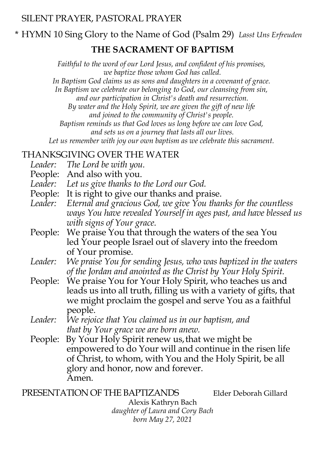#### SILENT PRAYER, PASTORAL PRAYER

\* HYMN 10 Sing Glory to the Name of God (Psalm 29) Lasst Uns Erfreuden

#### THE SACRAMENT OF BAPTISM

Faithful to the word of our Lord Jesus, and confident of his promises, we baptize those whom God has called. In Baptism God claims us as sons and daughters in a covenant of grace. In Baptism we celebrate our belonging to God, our cleansing from sin, and our participation in Christ's death and resurrection. By water and the Holy Spirit, we are given the gift of new life and joined to the community of Christ's people. Baptism reminds us that God loves us long before we can love God, and sets us on a journey that lasts all our lives. Let us remember with joy our own baptism as we celebrate this sacrament.

#### THANKSGIVING OVER THE WATER

- Leader: The Lord be with you.
- People: And also with you.
- Leader: Let us give thanks to the Lord our God.
- People: It is right to give our thanks and praise.
- Leader: Eternal and gracious God, we give You thanks for the countless ways You have revealed Yourself in ages past, and have blessed us with signs of Your grace.
- People: We praise You that through the waters of the sea You led Your people Israel out of slavery into the freedom of Your promise.
- Leader: We praise You for sending Jesus, who was baptized in the waters of the Jordan and anointed as the Christ by Your Holy Spirit.
- People: We praise You for Your Holy Spirit, who teaches us and leads us into all truth, filling us with a variety of gifts, that we might proclaim the gospel and serve You as a faithful people.
- Leader: We rejoice that You claimed us in our baptism, and that by Your grace we are born anew.

 People: By Your Holy Spirit renew us, that we might be empowered to do Your will and continue in the risen life of Christ, to whom, with You and the Holy Spirit, be all glory and honor, now and forever. Amen.

PRESENTATION OF THE BAPTIZANDS Elder Deborah Gillard

Alexis Kathryn Bach daughter of Laura and Cory Bach born May 27, 2021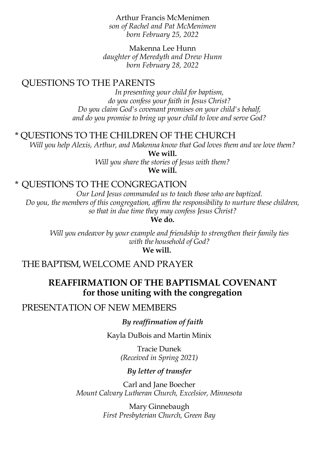Arthur Francis McMenimen son of Rachel and Pat McMenimen born February 25, 2022

Makenna Lee Hunn daughter of Meredyth and Drew Hunn born February 28, 2022

#### QUESTIONS TO THE PARENTS

In presenting your child for baptism, do you confess your faith in Jesus Christ? Do you claim God's covenant promises on your child's behalf, and do you promise to bring up your child to love and serve God?

#### \* QUESTIONS TO THE CHILDREN OF THE CHURCH

Will you help Alexis, Arthur, and Makenna know that God loves them and we love them?

We will. Will you share the stories of Jesus with them? We will.

#### OUESTIONS TO THE CONGREGATION

Our Lord Jesus commanded us to teach those who are baptized. Do you, the members of this congregation, affirm the responsibility to nurture these children, so that in due time they may confess Jesus Christ?

We do.

Will you endeavor by your example and friendship to strengthen their family ties with the household of God?

We will.

THE BAPTISM, WELCOME AND PRAYER

#### REAFFIRMATION OF THE BAPTISMAL COVENANT for those uniting with the congregation

#### PRESENTATION OF NEW MEMBERS

#### By reaffirmation of faith

Kayla DuBois and Martin Minix

Tracie Dunek (Received in Spring 2021)

#### By letter of transfer

Carl and Jane Boecher Mount Calvary Lutheran Church, Excelsior, Minnesota

> Mary Ginnebaugh First Presbyterian Church, Green Bay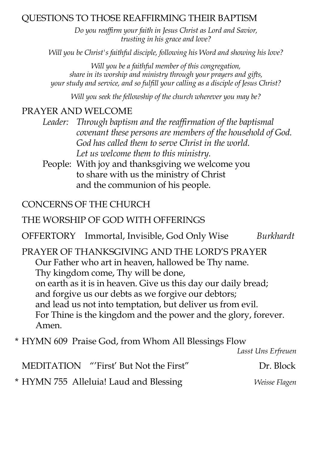#### QUESTIONS TO THOSE REAFFIRMING THEIR BAPTISM

Do you reaffirm your faith in Jesus Christ as Lord and Savior, trusting in his grace and love?

Will you be Christ's faithful disciple, following his Word and showing his love?

Will you be a faithful member of this congregation, share in its worship and ministry through your prayers and gifts, your study and service, and so fulfill your calling as a disciple of Jesus Christ?

Will you seek the fellowship of the church wherever you may be?

#### PRAYER AND WELCOME

- Leader: Through baptism and the reaffirmation of the baptismal covenant these persons are members of the household of God. God has called them to serve Christ in the world. Let us welcome them to this ministry.
- People: With joy and thanksgiving we welcome you to share with us the ministry of Christ and the communion of his people.

# CONCERNS OF THE CHURCH

# THE WORSHIP OF GOD WITH OFFERINGS

OFFERTORY Immortal, Invisible, God Only Wise Burkhardt

PRAYER OF THANKSGIVING AND THE LORD'S PRAYER Our Father who art in heaven, hallowed be Thy name. Thy kingdom come, Thy will be done, on earth as it is in heaven. Give us this day our daily bread; and forgive us our debts as we forgive our debtors; and lead us not into temptation, but deliver us from evil. For Thine is the kingdom and the power and the glory, forever. Amen.

\* HYMN 609 Praise God, from Whom All Blessings Flow

Lasst Uns Erfreuen

| MEDITATION "'First' But Not the First" | Dr. Block     |
|----------------------------------------|---------------|
| * HYMN 755 Alleluia! Laud and Blessing | Weisse Flagen |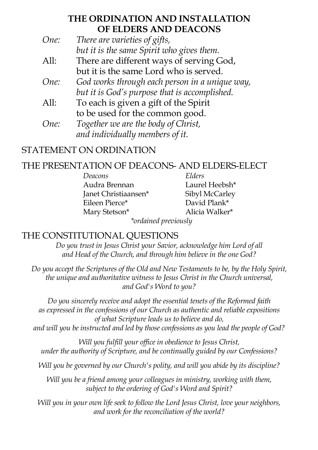#### THE ORDINATION AND INSTALLATION OF ELDERS AND DEACONS

| One: There are varieties of gifts,        |
|-------------------------------------------|
| but it is the same Spirit who gives them. |

All: There are different ways of serving God, but it is the same Lord who is served.

- One: God works through each person in a unique way, but it is God's purpose that is accomplished.
- All: To each is given a gift of the Spirit to be used for the common good.

One: Together we are the body of Christ, and individually members of it.

# STATEMENT ON ORDINATION

# THE PRESENTATION OF DEACONS- AND ELDERS-ELECT

| Deacons                   | Elders         |
|---------------------------|----------------|
| Audra Brennan             | Laurel Heebsh* |
| Janet Christiaansen*      | Sibyl McCarley |
| Eileen Pierce*            | David Plank*   |
| Mary Stetson <sup>*</sup> | Alicia Walker* |
|                           |                |

\*ordained previously

# THE CONSTITUTIONAL QUESTIONS

Do you trust in Jesus Christ your Savior, acknowledge him Lord of all and Head of the Church, and through him believe in the one God?

Do you accept the Scriptures of the Old and New Testaments to be, by the Holy Spirit, the unique and authoritative witness to Jesus Christ in the Church universal, and God's Word to you?

Do you sincerely receive and adopt the essential tenets of the Reformed faith as expressed in the confessions of our Church as authentic and reliable expositions of what Scripture leads us to believe and do,

and will you be instructed and led by those confessions as you lead the people of God?

Will you fulfill your office in obedience to Jesus Christ, under the authority of Scripture, and be continually guided by our Confessions?

Will you be governed by our Church's polity, and will you abide by its discipline?

Will you be a friend among your colleagues in ministry, working with them, subject to the ordering of God's Word and Spirit?

Will you in your own life seek to follow the Lord Jesus Christ, love your neighbors, and work for the reconciliation of the world?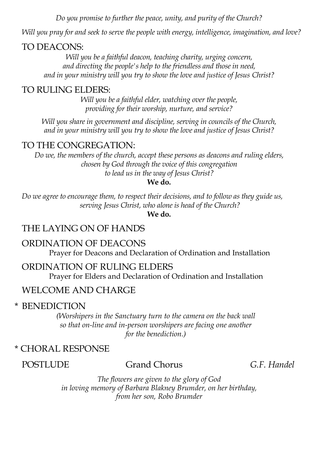Do you promise to further the peace, unity, and purity of the Church?

Will you pray for and seek to serve the people with energy, intelligence, imagination, and love?

#### TO DEACONS:

Will you be a faithful deacon, teaching charity, urging concern, and directing the people's help to the friendless and those in need, and in your ministry will you try to show the love and justice of Jesus Christ?

#### TO RULING ELDERS:

Will you be a faithful elder, watching over the people, providing for their worship, nurture, and service?

Will you share in government and discipline, serving in councils of the Church, and in your ministry will you try to show the love and justice of Jesus Christ?

#### TO THE CONGREGATION:

Do we, the members of the church, accept these persons as deacons and ruling elders, chosen by God through the voice of this congregation to lead us in the way of Jesus Christ?

#### We do.

Do we agree to encourage them, to respect their decisions, and to follow as they guide us, serving Jesus Christ, who alone is head of the Church?

We do.

# THE LAYING ON OF HANDS

#### ORDINATION OF DEACONS

Prayer for Deacons and Declaration of Ordination and Installation

#### ORDINATION OF RULING ELDERS

Prayer for Elders and Declaration of Ordination and Installation

#### WELCOME AND CHARGE

#### \* BENEDICTION

(Worshipers in the Sanctuary turn to the camera on the back wall so that on-line and in-person worshipers are facing one another for the benediction.)

#### \* CHORAL RESPONSE

#### POSTLUDE Grand Chorus G.F. Handel

The flowers are given to the glory of God in loving memory of Barbara Blakney Brumder, on her birthday, from her son, Robo Brumder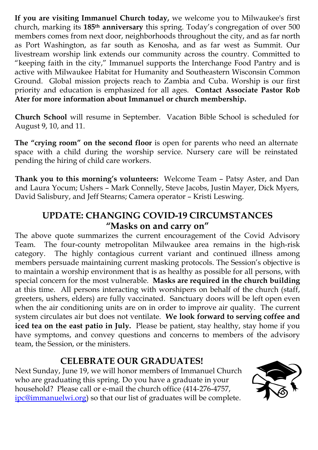If you are visiting Immanuel Church today, we welcome you to Milwaukee's first church, marking its 185th anniversary this spring. Today's congregation of over 500 members comes from next door, neighborhoods throughout the city, and as far north as Port Washington, as far south as Kenosha, and as far west as Summit. Our livestream worship link extends our community across the country. Committed to "keeping faith in the city," Immanuel supports the Interchange Food Pantry and is active with Milwaukee Habitat for Humanity and Southeastern Wisconsin Common Ground. Global mission projects reach to Zambia and Cuba. Worship is our first priority and education is emphasized for all ages. Contact Associate Pastor Rob Ater for more information about Immanuel or church membership.

Church School will resume in September. Vacation Bible School is scheduled for August 9, 10, and 11.

The "crying room" on the second floor is open for parents who need an alternate space with a child during the worship service. Nursery care will be reinstated pending the hiring of child care workers.

Thank you to this morning's volunteers: Welcome Team – Patsy Aster, and Dan and Laura Yocum; Ushers – Mark Connelly, Steve Jacobs, Justin Mayer, Dick Myers, David Salisbury, and Jeff Stearns; Camera operator – Kristi Leswing.

# UPDATE: CHANGING COVID-19 CIRCUMSTANCES "Masks on and carry on"

The above quote summarizes the current encouragement of the Covid Advisory Team. The four-county metropolitan Milwaukee area remains in the high-risk category. The highly contagious current variant and continued illness among members persuade maintaining current masking protocols. The Session's objective is to maintain a worship environment that is as healthy as possible for all persons, with special concern for the most vulnerable. Masks are required in the church building at this time. All persons interacting with worshipers on behalf of the church (staff, greeters, ushers, elders) are fully vaccinated. Sanctuary doors will be left open even when the air conditioning units are on in order to improve air quality. The current system circulates air but does not ventilate. We look forward to serving coffee and iced tea on the east patio in July. Please be patient, stay healthy, stay home if you have symptoms, and convey questions and concerns to members of the advisory team, the Session, or the ministers.

#### CELEBRATE OUR GRADUATES!

Next Sunday, June 19, we will honor members of Immanuel Church who are graduating this spring. Do you have a graduate in your household? Please call or e-mail the church office (414-276-4757, ipc@immanuelwi.org) so that our list of graduates will be complete.

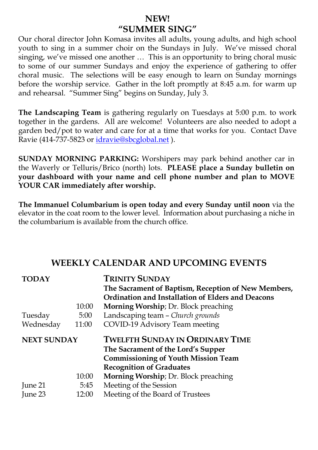### NEW! "SUMMER SING"

Our choral director John Komasa invites all adults, young adults, and high school youth to sing in a summer choir on the Sundays in July. We've missed choral singing, we've missed one another … This is an opportunity to bring choral music to some of our summer Sundays and enjoy the experience of gathering to offer choral music. The selections will be easy enough to learn on Sunday mornings before the worship service. Gather in the loft promptly at 8:45 a.m. for warm up and rehearsal. "Summer Sing" begins on Sunday, July 3.

The Landscaping Team is gathering regularly on Tuesdays at 5:00 p.m. to work together in the gardens. All are welcome! Volunteers are also needed to adopt a garden bed/pot to water and care for at a time that works for you. Contact Dave Ravie (414-737-5823 or idravie@sbcglobal.net).

SUNDAY MORNING PARKING: Worshipers may park behind another car in the Waverly or Telluris/Brico (north) lots. PLEASE place a Sunday bulletin on your dashboard with your name and cell phone number and plan to MOVE YOUR CAR immediately after worship.

 The Immanuel Columbarium is open today and every Sunday until noon via the elevator in the coat room to the lower level. Information about purchasing a niche in the columbarium is available from the church office.

#### WEEKLY CALENDAR AND UPCOMING EVENTS

| <b>TODAY</b>       |       | <b>TRINITY SUNDAY</b>                               |  |
|--------------------|-------|-----------------------------------------------------|--|
|                    |       | The Sacrament of Baptism, Reception of New Members, |  |
|                    |       | Ordination and Installation of Elders and Deacons   |  |
|                    | 10:00 | <b>Morning Worship</b> ; Dr. Block preaching        |  |
| Tuesday            | 5:00  | Landscaping team - Church grounds                   |  |
| Wednesday          | 11:00 | COVID-19 Advisory Team meeting                      |  |
| <b>NEXT SUNDAY</b> |       | <b>TWELFTH SUNDAY IN ORDINARY TIME</b>              |  |
|                    |       | The Sacrament of the Lord's Supper                  |  |
|                    |       | <b>Commissioning of Youth Mission Team</b>          |  |
|                    |       | <b>Recognition of Graduates</b>                     |  |
|                    | 10:00 | <b>Morning Worship</b> ; Dr. Block preaching        |  |
| June 21            | 5:45  | Meeting of the Session                              |  |
| June 23            | 12:00 | Meeting of the Board of Trustees                    |  |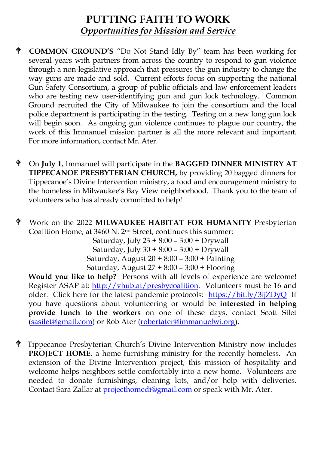# PUTTING FAITH TO WORK Opportunities for Mission and Service

- COMMON GROUND'S "Do Not Stand Idly By" team has been working for several years with partners from across the country to respond to gun violence through a non-legislative approach that pressures the gun industry to change the way guns are made and sold. Current efforts focus on supporting the national Gun Safety Consortium, a group of public officials and law enforcement leaders who are testing new user-identifying gun and gun lock technology. Common Ground recruited the City of Milwaukee to join the consortium and the local police department is participating in the testing. Testing on a new long gun lock will begin soon. As ongoing gun violence continues to plague our country, the work of this Immanuel mission partner is all the more relevant and important. For more information, contact Mr. Ater.
- On July 1, Immanuel will participate in the BAGGED DINNER MINISTRY AT TIPPECANOE PRESBYTERIAN CHURCH, by providing 20 bagged dinners for Tippecanoe's Divine Intervention ministry, a food and encouragement ministry to the homeless in Milwaukee's Bay View neighborhood. Thank you to the team of volunteers who has already committed to help!

 Work on the 2022 MILWAUKEE HABITAT FOR HUMANITY Presbyterian Coalition Home, at 3460 N. 2nd Street, continues this summer:

Saturday, July 23 + 8:00 – 3:00 + Drywall Saturday, July  $30 + 8:00 - 3:00 + Drywall$ Saturday, August  $20 + 8:00 - 3:00 +$  Painting Saturday, August  $27 + 8:00 - 3:00 +$  Flooring

Would you like to help? Persons with all levels of experience are welcome! Register ASAP at: http://vhub.at/presbycoalition. Volunteers must be 16 and older. Click here for the latest pandemic protocols: https://bit.ly/3ijZDyQ If you have questions about volunteering or would be interested in helping provide lunch to the workers on one of these days, contact Scott Silet (sasilet@gmail.com) or Rob Ater (robertater@immanuelwi.org).

 Tippecanoe Presbyterian Church's Divine Intervention Ministry now includes PROJECT HOME, a home furnishing ministry for the recently homeless. An extension of the Divine Intervention project, this mission of hospitality and welcome helps neighbors settle comfortably into a new home. Volunteers are needed to donate furnishings, cleaning kits, and/or help with deliveries. Contact Sara Zallar at projecthomedi@gmail.com or speak with Mr. Ater.